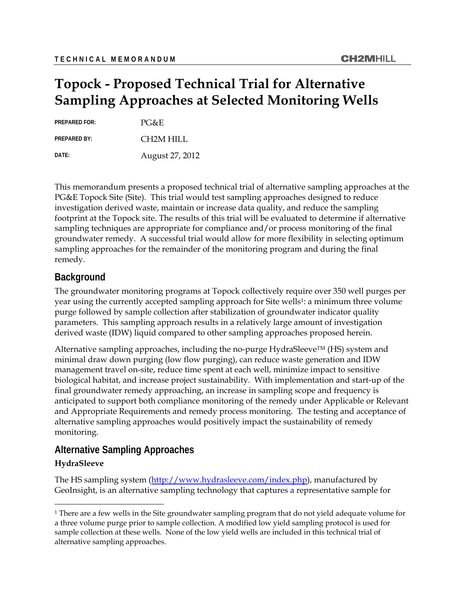# **Topock - Proposed Technical Trial for Alternative Sampling Approaches at Selected Monitoring Wells**

**PREPARED FOR:** PG&E

PREPARED BY: **CH2M HILL** 

**DATE:** August 27, 2012

This memorandum presents a proposed technical trial of alternative sampling approaches at the PG&E Topock Site (Site). This trial would test sampling approaches designed to reduce investigation derived waste, maintain or increase data quality, and reduce the sampling footprint at the Topock site. The results of this trial will be evaluated to determine if alternative sampling techniques are appropriate for compliance and/or process monitoring of the final groundwater remedy. A successful trial would allow for more flexibility in selecting optimum sampling approaches for the remainder of the monitoring program and during the final remedy.

# **Background**

The groundwater monitoring programs at Topock collectively require over 350 well purges per year using the currently accepted sampling approach for Site wells1: a minimum three volume purge followed by sample collection after stabilization of groundwater indicator quality parameters. This sampling approach results in a relatively large amount of investigation derived waste (IDW) liquid compared to other sampling approaches proposed herein.

Alternative sampling approaches, including the no-purge HydraSleeve<sup>TM</sup> (HS) system and minimal draw down purging (low flow purging), can reduce waste generation and IDW management travel on-site, reduce time spent at each well, minimize impact to sensitive biological habitat, and increase project sustainability. With implementation and start-up of the final groundwater remedy approaching, an increase in sampling scope and frequency is anticipated to support both compliance monitoring of the remedy under Applicable or Relevant and Appropriate Requirements and remedy process monitoring. The testing and acceptance of alternative sampling approaches would positively impact the sustainability of remedy monitoring.

# **Alternative Sampling Approaches**

## **HydraSleeve**

-

The HS sampling system (http://www.hydrasleeve.com/index.php), manufactured by GeoInsight, is an alternative sampling technology that captures a representative sample for

<sup>&</sup>lt;sup>1</sup> There are a few wells in the Site groundwater sampling program that do not yield adequate volume for a three volume purge prior to sample collection. A modified low yield sampling protocol is used for sample collection at these wells. None of the low yield wells are included in this technical trial of alternative sampling approaches.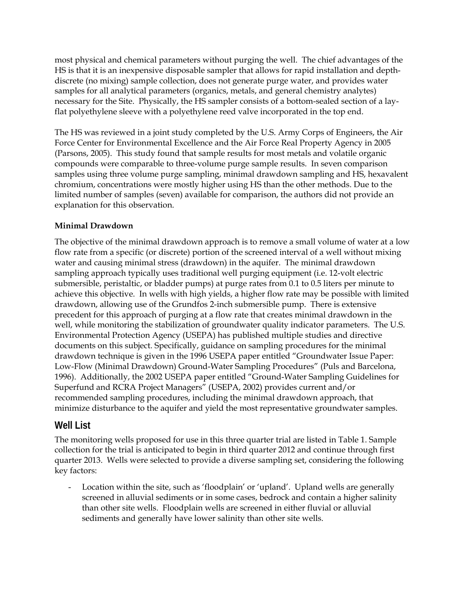most physical and chemical parameters without purging the well. The chief advantages of the HS is that it is an inexpensive disposable sampler that allows for rapid installation and depthdiscrete (no mixing) sample collection, does not generate purge water, and provides water samples for all analytical parameters (organics, metals, and general chemistry analytes) necessary for the Site. Physically, the HS sampler consists of a bottom-sealed section of a layflat polyethylene sleeve with a polyethylene reed valve incorporated in the top end.

The HS was reviewed in a joint study completed by the U.S. Army Corps of Engineers, the Air Force Center for Environmental Excellence and the Air Force Real Property Agency in 2005 (Parsons, 2005). This study found that sample results for most metals and volatile organic compounds were comparable to three-volume purge sample results. In seven comparison samples using three volume purge sampling, minimal drawdown sampling and HS, hexavalent chromium, concentrations were mostly higher using HS than the other methods. Due to the limited number of samples (seven) available for comparison, the authors did not provide an explanation for this observation.

## **Minimal Drawdown**

The objective of the minimal drawdown approach is to remove a small volume of water at a low flow rate from a specific (or discrete) portion of the screened interval of a well without mixing water and causing minimal stress (drawdown) in the aquifer. The minimal drawdown sampling approach typically uses traditional well purging equipment (i.e. 12-volt electric submersible, peristaltic, or bladder pumps) at purge rates from 0.1 to 0.5 liters per minute to achieve this objective. In wells with high yields, a higher flow rate may be possible with limited drawdown, allowing use of the Grundfos 2-inch submersible pump. There is extensive precedent for this approach of purging at a flow rate that creates minimal drawdown in the well, while monitoring the stabilization of groundwater quality indicator parameters. The U.S. Environmental Protection Agency (USEPA) has published multiple studies and directive documents on this subject. Specifically, guidance on sampling procedures for the minimal drawdown technique is given in the 1996 USEPA paper entitled "Groundwater Issue Paper: Low-Flow (Minimal Drawdown) Ground-Water Sampling Procedures" (Puls and Barcelona, 1996). Additionally, the 2002 USEPA paper entitled "Ground-Water Sampling Guidelines for Superfund and RCRA Project Managers" (USEPA, 2002) provides current and/or recommended sampling procedures, including the minimal drawdown approach, that minimize disturbance to the aquifer and yield the most representative groundwater samples.

# **Well List**

The monitoring wells proposed for use in this three quarter trial are listed in Table 1. Sample collection for the trial is anticipated to begin in third quarter 2012 and continue through first quarter 2013. Wells were selected to provide a diverse sampling set, considering the following key factors:

Location within the site, such as 'floodplain' or 'upland'. Upland wells are generally screened in alluvial sediments or in some cases, bedrock and contain a higher salinity than other site wells. Floodplain wells are screened in either fluvial or alluvial sediments and generally have lower salinity than other site wells.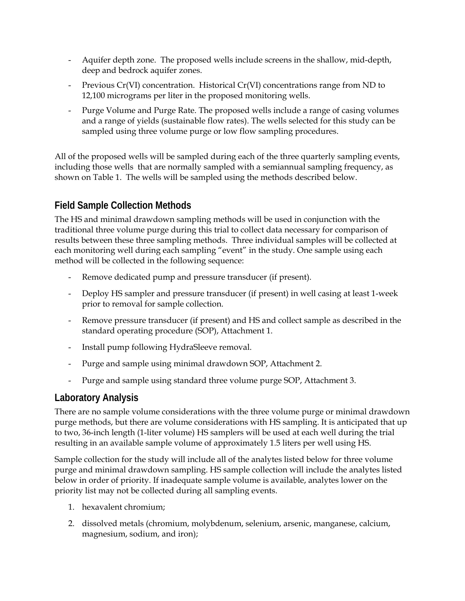- Aquifer depth zone. The proposed wells include screens in the shallow, mid-depth, deep and bedrock aquifer zones.
- Previous Cr(VI) concentration. Historical Cr(VI) concentrations range from ND to 12,100 micrograms per liter in the proposed monitoring wells.
- Purge Volume and Purge Rate. The proposed wells include a range of casing volumes and a range of yields (sustainable flow rates). The wells selected for this study can be sampled using three volume purge or low flow sampling procedures.

All of the proposed wells will be sampled during each of the three quarterly sampling events, including those wells that are normally sampled with a semiannual sampling frequency, as shown on Table 1. The wells will be sampled using the methods described below.

# **Field Sample Collection Methods**

The HS and minimal drawdown sampling methods will be used in conjunction with the traditional three volume purge during this trial to collect data necessary for comparison of results between these three sampling methods. Three individual samples will be collected at each monitoring well during each sampling "event" in the study. One sample using each method will be collected in the following sequence:

- Remove dedicated pump and pressure transducer (if present).
- Deploy HS sampler and pressure transducer (if present) in well casing at least 1-week prior to removal for sample collection.
- Remove pressure transducer (if present) and HS and collect sample as described in the standard operating procedure (SOP), Attachment 1.
- Install pump following HydraSleeve removal.
- Purge and sample using minimal drawdown SOP, Attachment 2.
- Purge and sample using standard three volume purge SOP, Attachment 3.

# **Laboratory Analysis**

There are no sample volume considerations with the three volume purge or minimal drawdown purge methods, but there are volume considerations with HS sampling. It is anticipated that up to two, 36-inch length (1-liter volume) HS samplers will be used at each well during the trial resulting in an available sample volume of approximately 1.5 liters per well using HS.

Sample collection for the study will include all of the analytes listed below for three volume purge and minimal drawdown sampling. HS sample collection will include the analytes listed below in order of priority. If inadequate sample volume is available, analytes lower on the priority list may not be collected during all sampling events.

- 1. hexavalent chromium;
- 2. dissolved metals (chromium, molybdenum, selenium, arsenic, manganese, calcium, magnesium, sodium, and iron);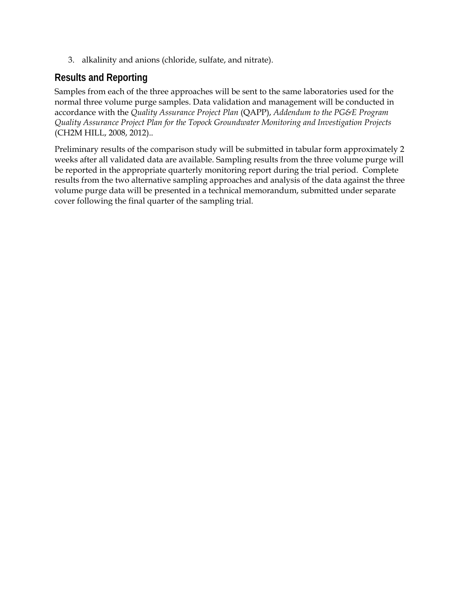3. alkalinity and anions (chloride, sulfate, and nitrate).

# **Results and Reporting**

Samples from each of the three approaches will be sent to the same laboratories used for the normal three volume purge samples. Data validation and management will be conducted in accordance with the *Quality Assurance Project Plan* (QAPP), *Addendum to the PG&E Program Quality Assurance Project Plan for the Topock Groundwater Monitoring and Investigation Projects*  (CH2M HILL, 2008, 2012)..

Preliminary results of the comparison study will be submitted in tabular form approximately 2 weeks after all validated data are available. Sampling results from the three volume purge will be reported in the appropriate quarterly monitoring report during the trial period. Complete results from the two alternative sampling approaches and analysis of the data against the three volume purge data will be presented in a technical memorandum, submitted under separate cover following the final quarter of the sampling trial.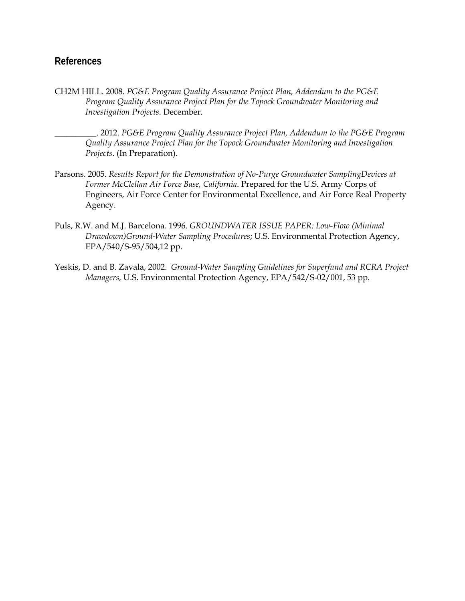# **References**

CH2M HILL. 2008. *PG&E Program Quality Assurance Project Plan, Addendum to the PG&E Program Quality Assurance Project Plan for the Topock Groundwater Monitoring and Investigation Projects*. December.

\_\_\_\_\_\_\_\_\_\_. 2012. *PG&E Program Quality Assurance Project Plan, Addendum to the PG&E Program Quality Assurance Project Plan for the Topock Groundwater Monitoring and Investigation Projects*. (In Preparation).

- Parsons. 2005. *Results Report for the Demonstration of No-Purge Groundwater SamplingDevices at Former McClellan Air Force Base, California*. Prepared for the U.S. Army Corps of Engineers, Air Force Center for Environmental Excellence, and Air Force Real Property Agency.
- Puls, R.W. and M.J. Barcelona. 1996. *GROUNDWATER ISSUE PAPER: Low-Flow (Minimal Drawdown)Ground-Water Sampling Procedures*; U.S. Environmental Protection Agency, EPA/540/S-95/504,12 pp.
- Yeskis, D. and B. Zavala, 2002. *Ground-Water Sampling Guidelines for Superfund and RCRA Project Managers,* U.S. Environmental Protection Agency, EPA/542/S-02/001, 53 pp.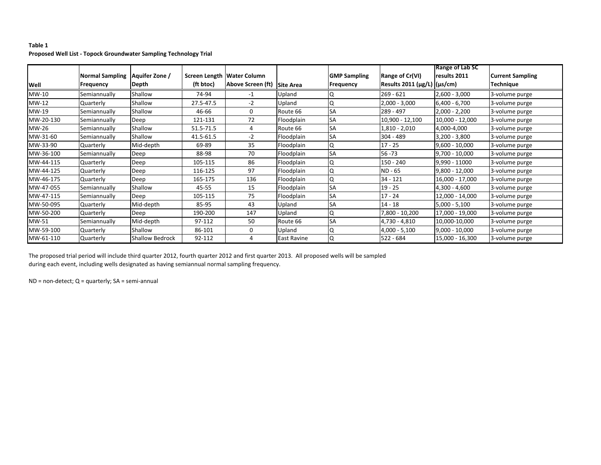#### **Table 1 Proposed Well List ‐ Topock Groundwater Sampling Technology Trial**

|           |                        |                        |                            |                   |                    |                     |                               | Range of Lab SC  |                         |
|-----------|------------------------|------------------------|----------------------------|-------------------|--------------------|---------------------|-------------------------------|------------------|-------------------------|
|           | <b>Normal Sampling</b> | Aquifer Zone /         | Screen Length Water Column |                   |                    | <b>GMP Sampling</b> | <b>Range of Cr(VI)</b>        | results 2011     | <b>Current Sampling</b> |
| Well      | <b>Frequency</b>       | Depth                  | (ft btoc)                  | Above Screen (ft) | Site Area          | Frequency           | Results 2011 (µg/L)   (µs/cm) |                  | <b>Technique</b>        |
| MW-10     | Semiannually           | Shallow                | 74-94                      | $-1$              | Upland             | ΙQ                  | $269 - 621$                   | $2,600 - 3,000$  | 3-volume purge          |
| MW-12     | Quarterly              | Shallow                | 27.5-47.5                  | $-2$              | Upland             | ١Q                  | $2,000 - 3,000$               | $6,400 - 6,700$  | 3-volume purge          |
| MW-19     | Semiannually           | Shallow                | 46-66                      | 0                 | Route 66           | <b>SA</b>           | 289 - 497                     | $2,000 - 2,200$  | 3-volume purge          |
| MW-20-130 | Semiannually           | Deep                   | 121-131                    | 72                | Floodplain         | <b>SA</b>           | 10,900 - 12,100               | 10,000 - 12,000  | 3-volume purge          |
| MW-26     | Semiannually           | Shallow                | 51.5-71.5                  | 4                 | Route 66           | <b>SA</b>           | $1,810 - 2,010$               | 4,000-4,000      | 3-volume purge          |
| MW-31-60  | Semiannually           | Shallow                | 41.5-61.5                  | $-2$              | Floodplain         | <b>SA</b>           | $304 - 489$                   | $3,200 - 3,800$  | 3-volume purge          |
| MW-33-90  | Quarterly              | Mid-depth              | 69-89                      | 35                | Floodplain         | ١Q                  | $17 - 25$                     | $9,600 - 10,000$ | 3-volume purge          |
| MW-36-100 | Semiannually           | Deep                   | 88-98                      | 70                | Floodplain         | <b>SA</b>           | $56 - 73$                     | $9,700 - 10,000$ | 3-volume purge          |
| MW-44-115 | Quarterly              | Deep                   | 105-115                    | 86                | Floodplain         | IQ                  | 150 - 240                     | 9,990 - 11000    | 3-volume purge          |
| MW-44-125 | Quarterly              | Deep                   | 116-125                    | 97                | Floodplain         | ١Q                  | ND - 65                       | $9,800 - 12,000$ | 3-volume purge          |
| MW-46-175 | Quarterly              | Deep                   | 165-175                    | 136               | Floodplain         | IQ                  | $34 - 121$                    | 16,000 - 17,000  | 3-volume purge          |
| MW-47-055 | Semiannually           | Shallow                | 45-55                      | 15                | Floodplain         | <b>SA</b>           | $19 - 25$                     | 4,300 - 4,600    | 3-volume purge          |
| MW-47-115 | Semiannually           | <b>IDeep</b>           | 105-115                    | 75                | Floodplain         | <b>SA</b>           | $17 - 24$                     | 12,000 - 14,000  | 3-volume purge          |
| MW-50-095 | Quarterly              | Mid-depth              | 85-95                      | 43                | Upland             | <b>SA</b>           | $14 - 18$                     | $5,000 - 5,100$  | 3-volume purge          |
| MW-50-200 | Quarterly              | Deep                   | 190-200                    | 147               | Upland             | IQ                  | 7,800 - 10,200                | 17,000 - 19,000  | 3-volume purge          |
| MW-51     | Semiannually           | Mid-depth              | 97-112                     | 50                | Route 66           | <b>SA</b>           | 4,730 - 4,810                 | 10,000-10,000    | 3-volume purge          |
| MW-59-100 | Quarterly              | Shallow                | 86-101                     | 0                 | Upland             | ١Q                  | $4,000 - 5,100$               | $9,000 - 10,000$ | 3-volume purge          |
| MW-61-110 | Quarterly              | <b>Shallow Bedrock</b> | 92-112                     | 4                 | <b>East Ravine</b> | IQ                  | $522 - 684$                   | 15,000 - 16,300  | 3-volume purge          |

The proposed trial period will include third quarter 2012, fourth quarter 2012 and first quarter 2013. All proposed wells will be sampled during each event, including wells designated as having semiannual normal sampling frequency.

ND <sup>=</sup> non‐detect; Q <sup>=</sup> quarterly; SA <sup>=</sup> semi‐annual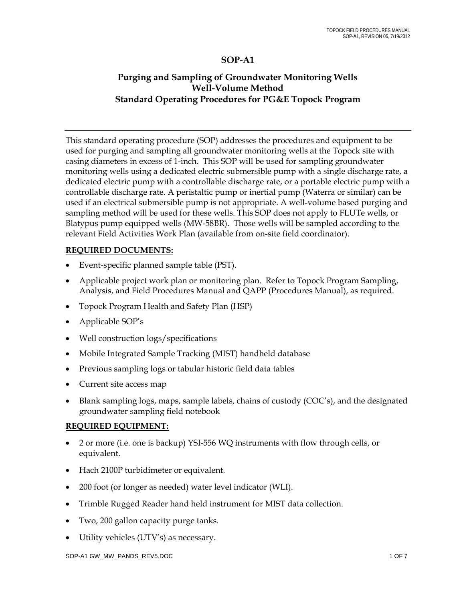# **SOP-A1**

# **Purging and Sampling of Groundwater Monitoring Wells Well-Volume Method Standard Operating Procedures for PG&E Topock Program**

This standard operating procedure (SOP) addresses the procedures and equipment to be used for purging and sampling all groundwater monitoring wells at the Topock site with casing diameters in excess of 1-inch. This SOP will be used for sampling groundwater monitoring wells using a dedicated electric submersible pump with a single discharge rate, a dedicated electric pump with a controllable discharge rate, or a portable electric pump with a controllable discharge rate. A peristaltic pump or inertial pump (Waterra or similar) can be used if an electrical submersible pump is not appropriate. A well-volume based purging and sampling method will be used for these wells. This SOP does not apply to FLUTe wells, or Blatypus pump equipped wells (MW-58BR). Those wells will be sampled according to the relevant Field Activities Work Plan (available from on-site field coordinator).

## **REQUIRED DOCUMENTS:**

- Event-specific planned sample table (PST).
- Applicable project work plan or monitoring plan. Refer to Topock Program Sampling, Analysis, and Field Procedures Manual and QAPP (Procedures Manual), as required.
- Topock Program Health and Safety Plan (HSP)
- Applicable SOP's
- Well construction logs/specifications
- Mobile Integrated Sample Tracking (MIST) handheld database
- Previous sampling logs or tabular historic field data tables
- Current site access map
- Blank sampling logs, maps, sample labels, chains of custody (COC's), and the designated groundwater sampling field notebook

## **REQUIRED EQUIPMENT:**

- 2 or more (i.e. one is backup) YSI-556 WQ instruments with flow through cells, or equivalent.
- Hach 2100P turbidimeter or equivalent.
- 200 foot (or longer as needed) water level indicator (WLI).
- Trimble Rugged Reader hand held instrument for MIST data collection.
- Two, 200 gallon capacity purge tanks.
- Utility vehicles (UTV's) as necessary.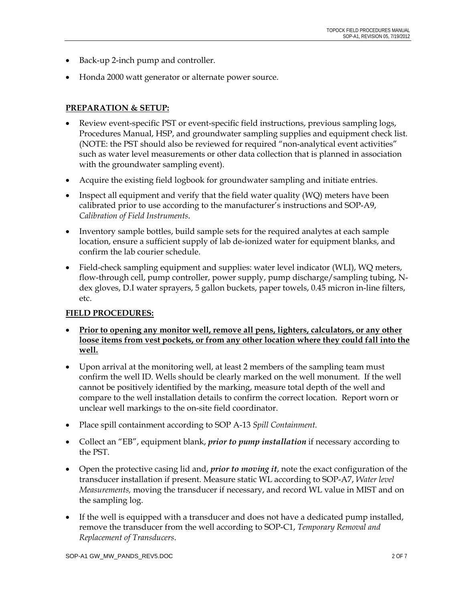- Back-up 2-inch pump and controller.
- Honda 2000 watt generator or alternate power source.

# **PREPARATION & SETUP:**

- Review event-specific PST or event-specific field instructions, previous sampling logs, Procedures Manual, HSP, and groundwater sampling supplies and equipment check list. (NOTE: the PST should also be reviewed for required "non-analytical event activities" such as water level measurements or other data collection that is planned in association with the groundwater sampling event).
- Acquire the existing field logbook for groundwater sampling and initiate entries.
- Inspect all equipment and verify that the field water quality (WQ) meters have been calibrated prior to use according to the manufacturer's instructions and SOP-A9, *Calibration of Field Instruments*.
- Inventory sample bottles, build sample sets for the required analytes at each sample location, ensure a sufficient supply of lab de-ionized water for equipment blanks, and confirm the lab courier schedule.
- Field-check sampling equipment and supplies: water level indicator (WLI), WQ meters, flow-through cell, pump controller, power supply, pump discharge/sampling tubing, Ndex gloves, D.I water sprayers, 5 gallon buckets, paper towels, 0.45 micron in-line filters, etc.

## **FIELD PROCEDURES:**

- **Prior to opening any monitor well, remove all pens, lighters, calculators, or any other loose items from vest pockets, or from any other location where they could fall into the well.**
- Upon arrival at the monitoring well, at least 2 members of the sampling team must confirm the well ID. Wells should be clearly marked on the well monument. If the well cannot be positively identified by the marking, measure total depth of the well and compare to the well installation details to confirm the correct location. Report worn or unclear well markings to the on-site field coordinator.
- Place spill containment according to SOP A-13 *Spill Containment.*
- Collect an "EB", equipment blank, *prior to pump installation* if necessary according to the PST.
- Open the protective casing lid and, *prior to moving it*, note the exact configuration of the transducer installation if present. Measure static WL according to SOP-A7, *Water level Measurements,* moving the transducer if necessary, and record WL value in MIST and on the sampling log.
- If the well is equipped with a transducer and does not have a dedicated pump installed, remove the transducer from the well according to SOP-C1, *Temporary Removal and Replacement of Transducers*.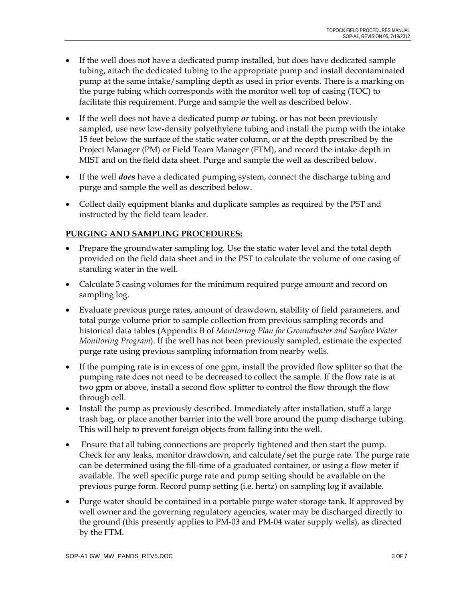- If the well does not have a dedicated pump installed, but does have dedicated sample tubing, attach the dedicated tubing to the appropriate pump and install decontaminated pump at the same intake/sampling depth as used in prior events. There is a marking on the purge tubing which corresponds with the monitor well top of casing (TOC) to facilitate this requirement. Purge and sample the well as described below.
- If the well does not have a dedicated pump *or* tubing, or has not been previously sampled, use new low-density polyethylene tubing and install the pump with the intake 15 feet below the surface of the static water column, or at the depth prescribed by the Project Manager (PM) or Field Team Manager (FTM), and record the intake depth in MIST and on the field data sheet. Purge and sample the well as described below.
- If the well *does* have a dedicated pumping system, connect the discharge tubing and purge and sample the well as described below.
- Collect daily equipment blanks and duplicate samples as required by the PST and instructed by the field team leader.

# **PURGING AND SAMPLING PROCEDURES:**

- Prepare the groundwater sampling log. Use the static water level and the total depth provided on the field data sheet and in the PST to calculate the volume of one casing of standing water in the well.
- Calculate 3 casing volumes for the minimum required purge amount and record on sampling log.
- Evaluate previous purge rates, amount of drawdown, stability of field parameters, and total purge volume prior to sample collection from previous sampling records and historical data tables (Appendix B of *Monitoring Plan for Groundwater and Surface Water Monitoring Program*). If the well has not been previously sampled, estimate the expected purge rate using previous sampling information from nearby wells.
- If the pumping rate is in excess of one gpm, install the provided flow splitter so that the pumping rate does not need to be decreased to collect the sample. If the flow rate is at two gpm or above, install a second flow splitter to control the flow through the flow through cell.
- Install the pump as previously described. Immediately after installation, stuff a large trash bag, or place another barrier into the well bore around the pump discharge tubing. This will help to prevent foreign objects from falling into the well.
- Ensure that all tubing connections are properly tightened and then start the pump. Check for any leaks, monitor drawdown, and calculate/set the purge rate. The purge rate can be determined using the fill-time of a graduated container, or using a flow meter if available. The well specific purge rate and pump setting should be available on the previous purge form. Record pump setting (i.e. hertz) on sampling log if available.
- Purge water should be contained in a portable purge water storage tank. If approved by well owner and the governing regulatory agencies, water may be discharged directly to the ground (this presently applies to PM-03 and PM-04 water supply wells), as directed by the FTM.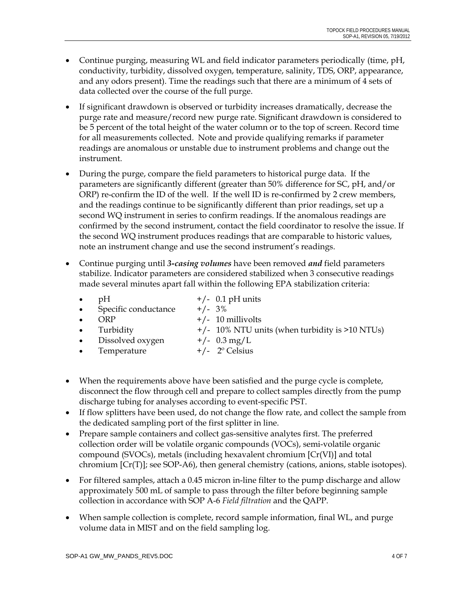- Continue purging, measuring WL and field indicator parameters periodically (time, pH, conductivity, turbidity, dissolved oxygen, temperature, salinity, TDS, ORP, appearance, and any odors present). Time the readings such that there are a minimum of 4 sets of data collected over the course of the full purge.
- If significant drawdown is observed or turbidity increases dramatically, decrease the purge rate and measure/record new purge rate. Significant drawdown is considered to be 5 percent of the total height of the water column or to the top of screen. Record time for all measurements collected. Note and provide qualifying remarks if parameter readings are anomalous or unstable due to instrument problems and change out the instrument.
- During the purge, compare the field parameters to historical purge data. If the parameters are significantly different (greater than 50% difference for SC, pH, and/or ORP) re-confirm the ID of the well. If the well ID is re-confirmed by 2 crew members, and the readings continue to be significantly different than prior readings, set up a second WQ instrument in series to confirm readings. If the anomalous readings are confirmed by the second instrument, contact the field coordinator to resolve the issue. If the second WQ instrument produces readings that are comparable to historic values, note an instrument change and use the second instrument's readings.
- Continue purging until *3-casing volumes* have been removed *and* field parameters stabilize. Indicator parameters are considered stabilized when 3 consecutive readings made several minutes apart fall within the following EPA stabilization criteria:

| $\bullet$ | pH                     | $+/-$ 0.1 pH units                                 |
|-----------|------------------------|----------------------------------------------------|
|           | • Specific conductance | $+/- 3\%$                                          |
| $\bullet$ | ORP                    | $+/- 10$ millivolts                                |
|           | $\bullet$ Turbidity    | $+/-$ 10% NTU units (when turbidity is $>10$ NTUs) |
|           | • Dissolved oxygen     | $+/-$ 0.3 mg/L                                     |
|           | • Temperature          | $+/-$ 2 <sup>o</sup> Celsius                       |

- When the requirements above have been satisfied and the purge cycle is complete, disconnect the flow through cell and prepare to collect samples directly from the pump discharge tubing for analyses according to event-specific PST.
- If flow splitters have been used, do not change the flow rate, and collect the sample from the dedicated sampling port of the first splitter in line.
- Prepare sample containers and collect gas-sensitive analytes first. The preferred collection order will be volatile organic compounds (VOCs), semi-volatile organic compound (SVOCs), metals (including hexavalent chromium [Cr(VI)] and total chromium  $[Cr(T)]$ ; see SOP-A6), then general chemistry (cations, anions, stable isotopes).
- For filtered samples, attach a 0.45 micron in-line filter to the pump discharge and allow approximately 500 mL of sample to pass through the filter before beginning sample collection in accordance with SOP A-6 *Field filtration* and the QAPP.
- When sample collection is complete, record sample information, final WL, and purge volume data in MIST and on the field sampling log.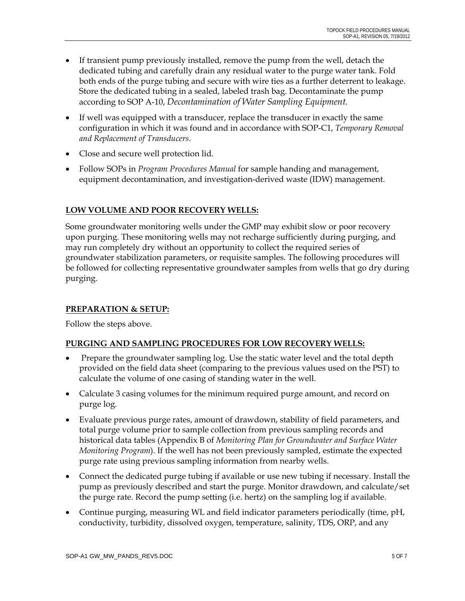- If transient pump previously installed, remove the pump from the well, detach the dedicated tubing and carefully drain any residual water to the purge water tank. Fold both ends of the purge tubing and secure with wire ties as a further deterrent to leakage. Store the dedicated tubing in a sealed, labeled trash bag. Decontaminate the pump according to SOP A-10, *Decontamination of Water Sampling Equipment.*
- If well was equipped with a transducer, replace the transducer in exactly the same configuration in which it was found and in accordance with SOP-C1, *Temporary Removal and Replacement of Transducers*.
- Close and secure well protection lid.
- Follow SOPs in *Program Procedures Manual* for sample handing and management, equipment decontamination, and investigation-derived waste (IDW) management.

# **LOW VOLUME AND POOR RECOVERY WELLS:**

Some groundwater monitoring wells under the GMP may exhibit slow or poor recovery upon purging. These monitoring wells may not recharge sufficiently during purging, and may run completely dry without an opportunity to collect the required series of groundwater stabilization parameters, or requisite samples. The following procedures will be followed for collecting representative groundwater samples from wells that go dry during purging.

# **PREPARATION & SETUP:**

Follow the steps above.

## **PURGING AND SAMPLING PROCEDURES FOR LOW RECOVERY WELLS:**

- Prepare the groundwater sampling log. Use the static water level and the total depth provided on the field data sheet (comparing to the previous values used on the PST) to calculate the volume of one casing of standing water in the well.
- Calculate 3 casing volumes for the minimum required purge amount, and record on purge log.
- Evaluate previous purge rates, amount of drawdown, stability of field parameters, and total purge volume prior to sample collection from previous sampling records and historical data tables (Appendix B of *Monitoring Plan for Groundwater and Surface Water Monitoring Program*). If the well has not been previously sampled, estimate the expected purge rate using previous sampling information from nearby wells.
- Connect the dedicated purge tubing if available or use new tubing if necessary. Install the pump as previously described and start the purge. Monitor drawdown, and calculate/set the purge rate. Record the pump setting (i.e. hertz) on the sampling log if available.
- Continue purging, measuring WL and field indicator parameters periodically (time, pH, conductivity, turbidity, dissolved oxygen, temperature, salinity, TDS, ORP, and any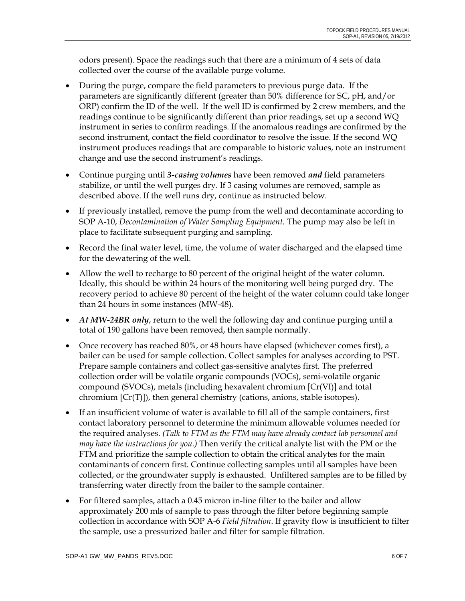odors present). Space the readings such that there are a minimum of 4 sets of data collected over the course of the available purge volume.

- During the purge, compare the field parameters to previous purge data. If the parameters are significantly different (greater than 50% difference for SC, pH, and/or ORP) confirm the ID of the well. If the well ID is confirmed by 2 crew members, and the readings continue to be significantly different than prior readings, set up a second WQ instrument in series to confirm readings. If the anomalous readings are confirmed by the second instrument, contact the field coordinator to resolve the issue. If the second WQ instrument produces readings that are comparable to historic values, note an instrument change and use the second instrument's readings.
- Continue purging until *3-casing volumes* have been removed *and* field parameters stabilize, or until the well purges dry. If 3 casing volumes are removed, sample as described above. If the well runs dry, continue as instructed below.
- If previously installed, remove the pump from the well and decontaminate according to SOP A-10, *Decontamination of Water Sampling Equipment.* The pump may also be left in place to facilitate subsequent purging and sampling.
- Record the final water level, time, the volume of water discharged and the elapsed time for the dewatering of the well.
- Allow the well to recharge to 80 percent of the original height of the water column. Ideally, this should be within 24 hours of the monitoring well being purged dry. The recovery period to achieve 80 percent of the height of the water column could take longer than 24 hours in some instances (MW-48).
- *At MW-24BR only*, return to the well the following day and continue purging until a total of 190 gallons have been removed, then sample normally.
- Once recovery has reached 80%, or 48 hours have elapsed (whichever comes first), a bailer can be used for sample collection. Collect samples for analyses according to PST. Prepare sample containers and collect gas-sensitive analytes first. The preferred collection order will be volatile organic compounds (VOCs), semi-volatile organic compound (SVOCs), metals (including hexavalent chromium [Cr(VI)] and total chromium [Cr(T)]), then general chemistry (cations, anions, stable isotopes).
- If an insufficient volume of water is available to fill all of the sample containers, first contact laboratory personnel to determine the minimum allowable volumes needed for the required analyses. *(Talk to FTM as the FTM may have already contact lab personnel and may have the instructions for you.)* Then verify the critical analyte list with the PM or the FTM and prioritize the sample collection to obtain the critical analytes for the main contaminants of concern first. Continue collecting samples until all samples have been collected, or the groundwater supply is exhausted. Unfiltered samples are to be filled by transferring water directly from the bailer to the sample container.
- For filtered samples, attach a 0.45 micron in-line filter to the bailer and allow approximately 200 mls of sample to pass through the filter before beginning sample collection in accordance with SOP A-6 *Field filtration*. If gravity flow is insufficient to filter the sample, use a pressurized bailer and filter for sample filtration.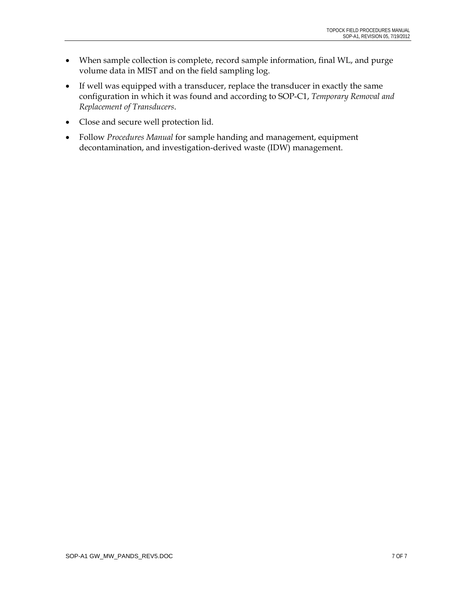- When sample collection is complete, record sample information, final WL, and purge volume data in MIST and on the field sampling log.
- If well was equipped with a transducer, replace the transducer in exactly the same configuration in which it was found and according to SOP-C1, *Temporary Removal and Replacement of Transducers*.
- Close and secure well protection lid.
- Follow *Procedures Manual* for sample handing and management, equipment decontamination, and investigation-derived waste (IDW) management.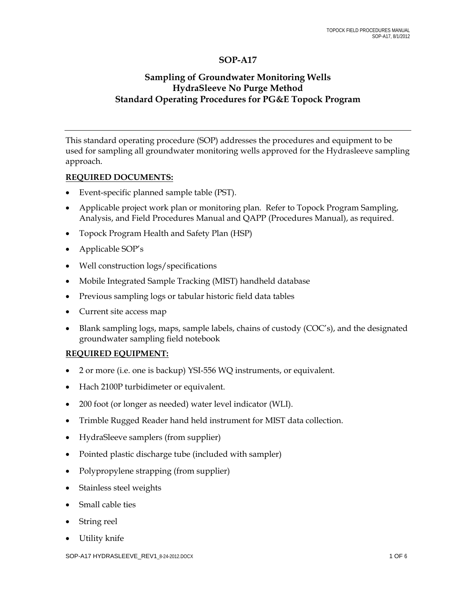# **SOP-A17**

# **Sampling of Groundwater Monitoring Wells HydraSleeve No Purge Method Standard Operating Procedures for PG&E Topock Program**

This standard operating procedure (SOP) addresses the procedures and equipment to be used for sampling all groundwater monitoring wells approved for the Hydrasleeve sampling approach.

#### **REQUIRED DOCUMENTS:**

- Event-specific planned sample table (PST).
- Applicable project work plan or monitoring plan. Refer to Topock Program Sampling, Analysis, and Field Procedures Manual and QAPP (Procedures Manual), as required.
- Topock Program Health and Safety Plan (HSP)
- Applicable SOP's
- Well construction logs/specifications
- Mobile Integrated Sample Tracking (MIST) handheld database
- Previous sampling logs or tabular historic field data tables
- Current site access map
- Blank sampling logs, maps, sample labels, chains of custody (COC's), and the designated groundwater sampling field notebook

#### **REQUIRED EQUIPMENT:**

- 2 or more (i.e. one is backup) YSI-556 WQ instruments, or equivalent.
- Hach 2100P turbidimeter or equivalent.
- 200 foot (or longer as needed) water level indicator (WLI).
- Trimble Rugged Reader hand held instrument for MIST data collection.
- HydraSleeve samplers (from supplier)
- Pointed plastic discharge tube (included with sampler)
- Polypropylene strapping (from supplier)
- Stainless steel weights
- Small cable ties
- String reel
- Utility knife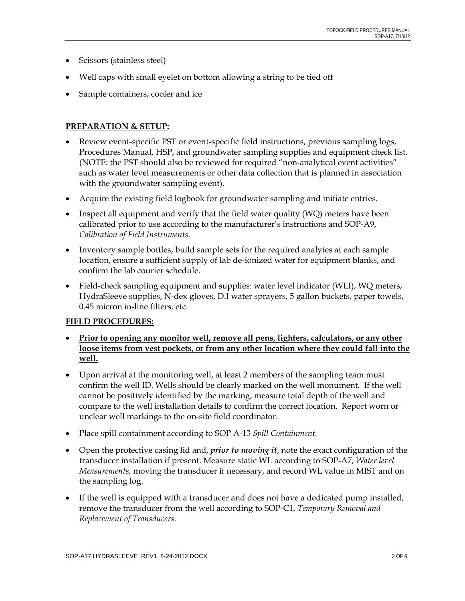- Scissors (stainless steel)
- Well caps with small eyelet on bottom allowing a string to be tied off
- Sample containers, cooler and ice

## **PREPARATION & SETUP:**

- Review event-specific PST or event-specific field instructions, previous sampling logs, Procedures Manual, HSP, and groundwater sampling supplies and equipment check list. (NOTE: the PST should also be reviewed for required "non-analytical event activities" such as water level measurements or other data collection that is planned in association with the groundwater sampling event).
- Acquire the existing field logbook for groundwater sampling and initiate entries.
- Inspect all equipment and verify that the field water quality (WQ) meters have been calibrated prior to use according to the manufacturer's instructions and SOP-A9, *Calibration of Field Instruments*.
- Inventory sample bottles, build sample sets for the required analytes at each sample location, ensure a sufficient supply of lab de-ionized water for equipment blanks, and confirm the lab courier schedule.
- Field-check sampling equipment and supplies: water level indicator (WLI), WQ meters, HydraSleeve supplies, N-dex gloves, D.I water sprayers, 5 gallon buckets, paper towels, 0.45 micron in-line filters, etc.

# **FIELD PROCEDURES:**

- **Prior to opening any monitor well, remove all pens, lighters, calculators, or any other loose items from vest pockets, or from any other location where they could fall into the well.**
- Upon arrival at the monitoring well, at least 2 members of the sampling team must confirm the well ID. Wells should be clearly marked on the well monument. If the well cannot be positively identified by the marking, measure total depth of the well and compare to the well installation details to confirm the correct location. Report worn or unclear well markings to the on-site field coordinator.
- Place spill containment according to SOP A-13 *Spill Containment.*
- Open the protective casing lid and, *prior to moving it*, note the exact configuration of the transducer installation if present. Measure static WL according to SOP-A7, *Water level Measurements,* moving the transducer if necessary, and record WL value in MIST and on the sampling log.
- If the well is equipped with a transducer and does not have a dedicated pump installed, remove the transducer from the well according to SOP-C1, *Temporary Removal and Replacement of Transducers*.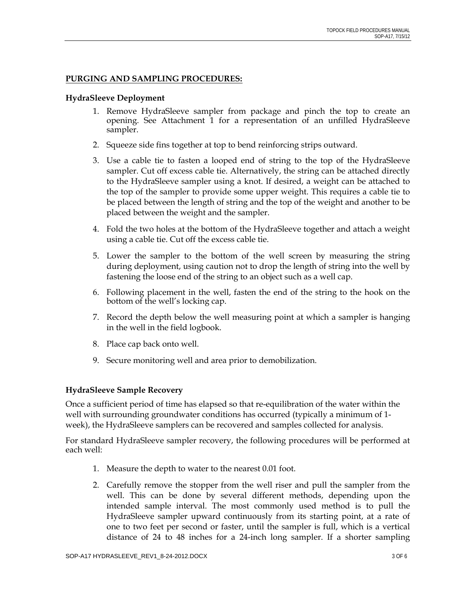#### **PURGING AND SAMPLING PROCEDURES:**

#### **HydraSleeve Deployment**

- 1. Remove HydraSleeve sampler from package and pinch the top to create an opening. See Attachment 1 for a representation of an unfilled HydraSleeve sampler.
- 2. Squeeze side fins together at top to bend reinforcing strips outward.
- 3. Use a cable tie to fasten a looped end of string to the top of the HydraSleeve sampler. Cut off excess cable tie. Alternatively, the string can be attached directly to the HydraSleeve sampler using a knot. If desired, a weight can be attached to the top of the sampler to provide some upper weight. This requires a cable tie to be placed between the length of string and the top of the weight and another to be placed between the weight and the sampler.
- 4. Fold the two holes at the bottom of the HydraSleeve together and attach a weight using a cable tie. Cut off the excess cable tie.
- 5. Lower the sampler to the bottom of the well screen by measuring the string during deployment, using caution not to drop the length of string into the well by fastening the loose end of the string to an object such as a well cap.
- 6. Following placement in the well, fasten the end of the string to the hook on the bottom of the well's locking cap.
- 7. Record the depth below the well measuring point at which a sampler is hanging in the well in the field logbook.
- 8. Place cap back onto well.
- 9. Secure monitoring well and area prior to demobilization.

## **HydraSleeve Sample Recovery**

Once a sufficient period of time has elapsed so that re-equilibration of the water within the well with surrounding groundwater conditions has occurred (typically a minimum of 1 week), the HydraSleeve samplers can be recovered and samples collected for analysis.

For standard HydraSleeve sampler recovery, the following procedures will be performed at each well:

- 1. Measure the depth to water to the nearest 0.01 foot.
- 2. Carefully remove the stopper from the well riser and pull the sampler from the well. This can be done by several different methods, depending upon the intended sample interval. The most commonly used method is to pull the HydraSleeve sampler upward continuously from its starting point, at a rate of one to two feet per second or faster, until the sampler is full, which is a vertical distance of 24 to 48 inches for a 24-inch long sampler. If a shorter sampling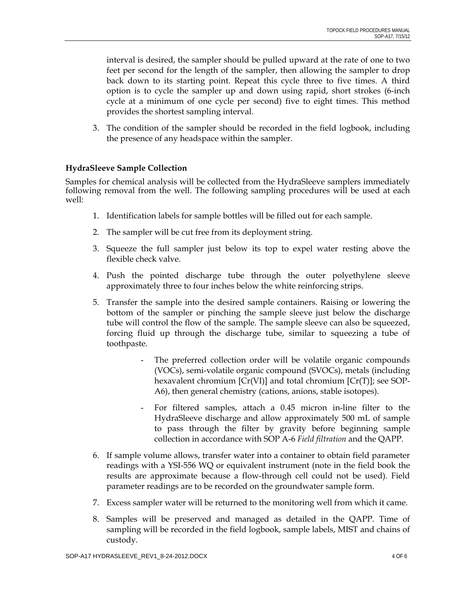interval is desired, the sampler should be pulled upward at the rate of one to two feet per second for the length of the sampler, then allowing the sampler to drop back down to its starting point. Repeat this cycle three to five times. A third option is to cycle the sampler up and down using rapid, short strokes (6-inch cycle at a minimum of one cycle per second) five to eight times. This method provides the shortest sampling interval.

3. The condition of the sampler should be recorded in the field logbook, including the presence of any headspace within the sampler.

#### **HydraSleeve Sample Collection**

Samples for chemical analysis will be collected from the HydraSleeve samplers immediately following removal from the well. The following sampling procedures will be used at each well:

- 1. Identification labels for sample bottles will be filled out for each sample.
- 2. The sampler will be cut free from its deployment string.
- 3. Squeeze the full sampler just below its top to expel water resting above the flexible check valve.
- 4. Push the pointed discharge tube through the outer polyethylene sleeve approximately three to four inches below the white reinforcing strips.
- 5. Transfer the sample into the desired sample containers. Raising or lowering the bottom of the sampler or pinching the sample sleeve just below the discharge tube will control the flow of the sample. The sample sleeve can also be squeezed, forcing fluid up through the discharge tube, similar to squeezing a tube of toothpaste.
	- The preferred collection order will be volatile organic compounds (VOCs), semi-volatile organic compound (SVOCs), metals (including hexavalent chromium [Cr(VI)] and total chromium [Cr(T)]; see SOP-A6), then general chemistry (cations, anions, stable isotopes).
	- For filtered samples, attach a 0.45 micron in-line filter to the HydraSleeve discharge and allow approximately 500 mL of sample to pass through the filter by gravity before beginning sample collection in accordance with SOP A-6 *Field filtration* and the QAPP.
- 6. If sample volume allows, transfer water into a container to obtain field parameter readings with a YSI-556 WQ or equivalent instrument (note in the field book the results are approximate because a flow-through cell could not be used). Field parameter readings are to be recorded on the groundwater sample form.
- 7. Excess sampler water will be returned to the monitoring well from which it came.
- 8. Samples will be preserved and managed as detailed in the QAPP. Time of sampling will be recorded in the field logbook, sample labels, MIST and chains of custody.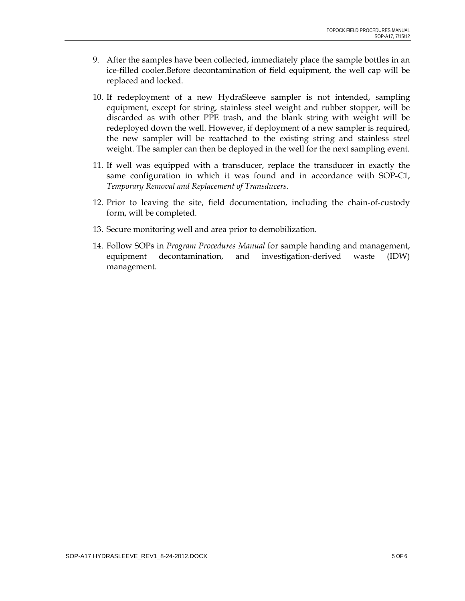- 9. After the samples have been collected, immediately place the sample bottles in an ice-filled cooler.Before decontamination of field equipment, the well cap will be replaced and locked.
- 10. If redeployment of a new HydraSleeve sampler is not intended, sampling equipment, except for string, stainless steel weight and rubber stopper, will be discarded as with other PPE trash, and the blank string with weight will be redeployed down the well. However, if deployment of a new sampler is required, the new sampler will be reattached to the existing string and stainless steel weight. The sampler can then be deployed in the well for the next sampling event.
- 11. If well was equipped with a transducer, replace the transducer in exactly the same configuration in which it was found and in accordance with SOP-C1, *Temporary Removal and Replacement of Transducers*.
- 12. Prior to leaving the site, field documentation, including the chain-of-custody form, will be completed.
- 13. Secure monitoring well and area prior to demobilization.
- 14. Follow SOPs in *Program Procedures Manual* for sample handing and management, equipment decontamination, and investigation-derived waste (IDW) management.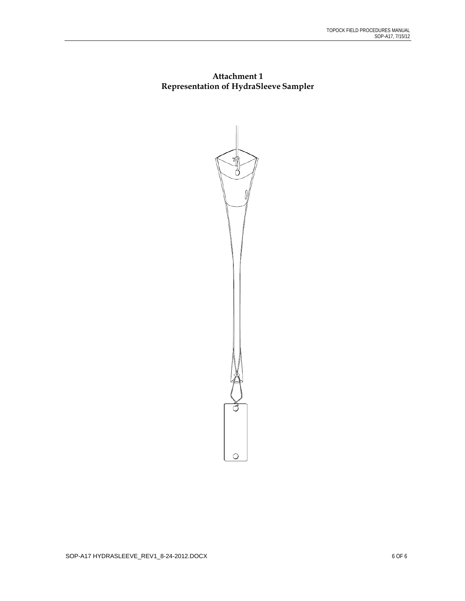# **Attachment 1 Representation of HydraSleeve Sampler**

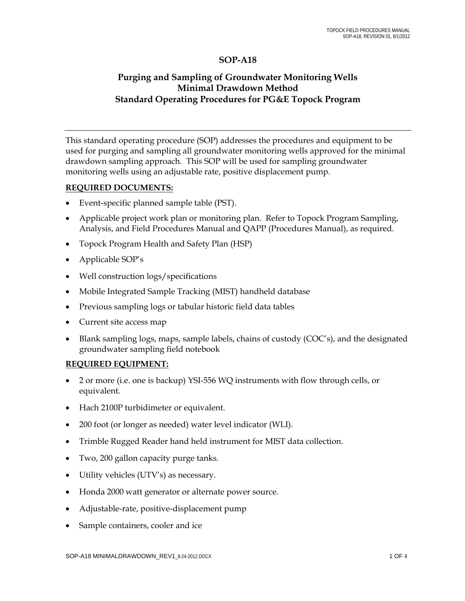# **SOP-A18**

# **Purging and Sampling of Groundwater Monitoring Wells Minimal Drawdown Method Standard Operating Procedures for PG&E Topock Program**

This standard operating procedure (SOP) addresses the procedures and equipment to be used for purging and sampling all groundwater monitoring wells approved for the minimal drawdown sampling approach. This SOP will be used for sampling groundwater monitoring wells using an adjustable rate, positive displacement pump.

#### **REQUIRED DOCUMENTS:**

- Event-specific planned sample table (PST).
- Applicable project work plan or monitoring plan. Refer to Topock Program Sampling, Analysis, and Field Procedures Manual and QAPP (Procedures Manual), as required.
- Topock Program Health and Safety Plan (HSP)
- Applicable SOP's
- Well construction logs/specifications
- Mobile Integrated Sample Tracking (MIST) handheld database
- Previous sampling logs or tabular historic field data tables
- Current site access map
- Blank sampling logs, maps, sample labels, chains of custody (COC's), and the designated groundwater sampling field notebook

#### **REQUIRED EQUIPMENT:**

- 2 or more (i.e. one is backup) YSI-556 WQ instruments with flow through cells, or equivalent.
- Hach 2100P turbidimeter or equivalent.
- 200 foot (or longer as needed) water level indicator (WLI).
- Trimble Rugged Reader hand held instrument for MIST data collection.
- Two, 200 gallon capacity purge tanks.
- Utility vehicles (UTV's) as necessary.
- Honda 2000 watt generator or alternate power source.
- Adjustable-rate, positive-displacement pump
- Sample containers, cooler and ice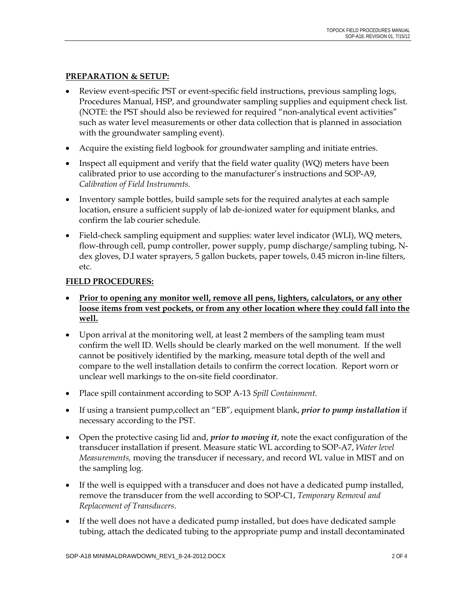#### **PREPARATION & SETUP:**

- Review event-specific PST or event-specific field instructions, previous sampling logs, Procedures Manual, HSP, and groundwater sampling supplies and equipment check list. (NOTE: the PST should also be reviewed for required "non-analytical event activities" such as water level measurements or other data collection that is planned in association with the groundwater sampling event).
- Acquire the existing field logbook for groundwater sampling and initiate entries.
- Inspect all equipment and verify that the field water quality (WQ) meters have been calibrated prior to use according to the manufacturer's instructions and SOP-A9, *Calibration of Field Instruments*.
- Inventory sample bottles, build sample sets for the required analytes at each sample location, ensure a sufficient supply of lab de-ionized water for equipment blanks, and confirm the lab courier schedule.
- Field-check sampling equipment and supplies: water level indicator (WLI), WQ meters, flow-through cell, pump controller, power supply, pump discharge/sampling tubing, Ndex gloves, D.I water sprayers, 5 gallon buckets, paper towels, 0.45 micron in-line filters, etc.

#### **FIELD PROCEDURES:**

- **Prior to opening any monitor well, remove all pens, lighters, calculators, or any other loose items from vest pockets, or from any other location where they could fall into the well.**
- Upon arrival at the monitoring well, at least 2 members of the sampling team must confirm the well ID. Wells should be clearly marked on the well monument. If the well cannot be positively identified by the marking, measure total depth of the well and compare to the well installation details to confirm the correct location. Report worn or unclear well markings to the on-site field coordinator.
- Place spill containment according to SOP A-13 *Spill Containment.*
- If using a transient pump,collect an "EB", equipment blank, *prior to pump installation* if necessary according to the PST.
- Open the protective casing lid and, *prior to moving it*, note the exact configuration of the transducer installation if present. Measure static WL according to SOP-A7, *Water level Measurements,* moving the transducer if necessary, and record WL value in MIST and on the sampling log.
- If the well is equipped with a transducer and does not have a dedicated pump installed, remove the transducer from the well according to SOP-C1, *Temporary Removal and Replacement of Transducers*.
- If the well does not have a dedicated pump installed, but does have dedicated sample tubing, attach the dedicated tubing to the appropriate pump and install decontaminated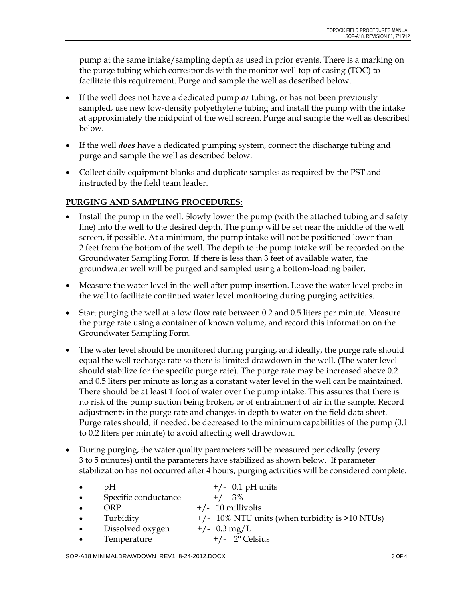pump at the same intake/sampling depth as used in prior events. There is a marking on the purge tubing which corresponds with the monitor well top of casing (TOC) to facilitate this requirement. Purge and sample the well as described below.

- If the well does not have a dedicated pump *or* tubing, or has not been previously sampled, use new low-density polyethylene tubing and install the pump with the intake at approximately the midpoint of the well screen. Purge and sample the well as described below.
- If the well *does* have a dedicated pumping system, connect the discharge tubing and purge and sample the well as described below.
- Collect daily equipment blanks and duplicate samples as required by the PST and instructed by the field team leader.

# **PURGING AND SAMPLING PROCEDURES:**

- Install the pump in the well. Slowly lower the pump (with the attached tubing and safety line) into the well to the desired depth. The pump will be set near the middle of the well screen, if possible. At a minimum, the pump intake will not be positioned lower than 2 feet from the bottom of the well. The depth to the pump intake will be recorded on the Groundwater Sampling Form. If there is less than 3 feet of available water, the groundwater well will be purged and sampled using a bottom-loading bailer.
- Measure the water level in the well after pump insertion. Leave the water level probe in the well to facilitate continued water level monitoring during purging activities.
- Start purging the well at a low flow rate between 0.2 and 0.5 liters per minute. Measure the purge rate using a container of known volume, and record this information on the Groundwater Sampling Form.
- The water level should be monitored during purging, and ideally, the purge rate should equal the well recharge rate so there is limited drawdown in the well. (The water level should stabilize for the specific purge rate). The purge rate may be increased above 0.2 and 0.5 liters per minute as long as a constant water level in the well can be maintained. There should be at least 1 foot of water over the pump intake. This assures that there is no risk of the pump suction being broken, or of entrainment of air in the sample. Record adjustments in the purge rate and changes in depth to water on the field data sheet. Purge rates should, if needed, be decreased to the minimum capabilities of the pump (0.1 to 0.2 liters per minute) to avoid affecting well drawdown.
- During purging, the water quality parameters will be measured periodically (every 3 to 5 minutes) until the parameters have stabilized as shown below. If parameter stabilization has not occurred after 4 hours, purging activities will be considered complete.

| $\bullet$ | pΗ                   | $+/-$ 0.1 pH units                                 |
|-----------|----------------------|----------------------------------------------------|
| $\bullet$ | Specific conductance | $+/- 3\%$                                          |
| $\bullet$ | ORP                  | $+/- 10$ millivolts                                |
| $\bullet$ | Turbidity            | $+/-$ 10% NTU units (when turbidity is $>10$ NTUs) |
| $\bullet$ | Dissolved oxygen     | $+/-$ 0.3 mg/L                                     |
| $\bullet$ | Temperature          | $+/-$ 2 <sup>o</sup> Celsius                       |